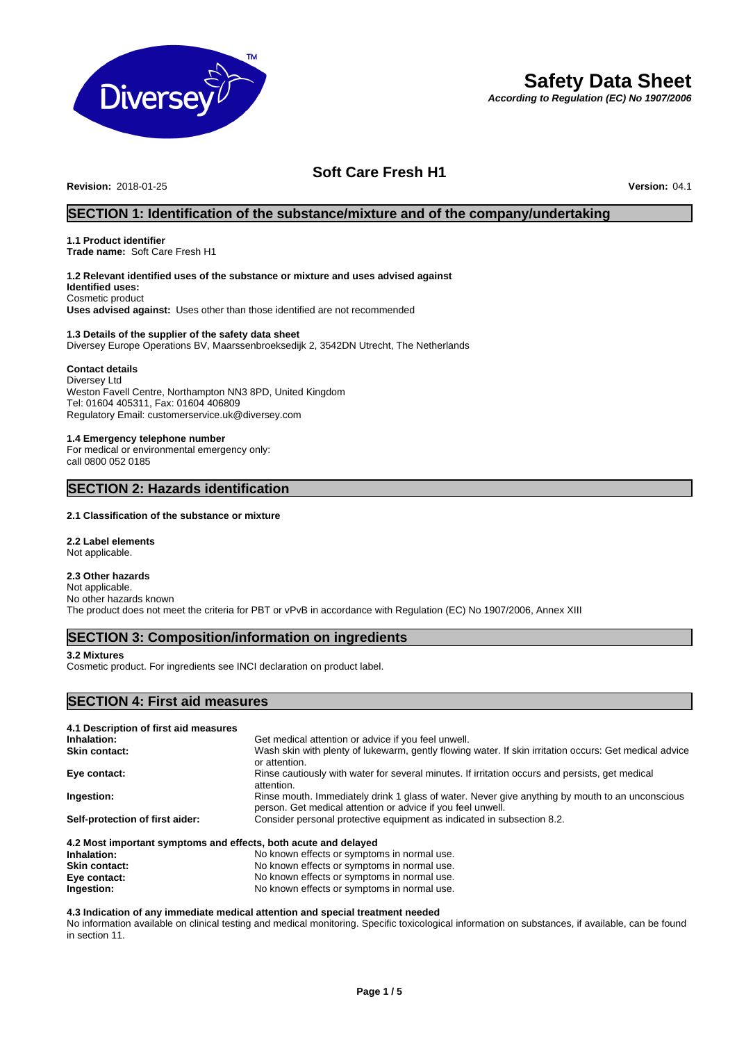

# **Safety Data Sheet**

*According to Regulation (EC) No 1907/2006*

# **Soft Care Fresh H1**

**Revision:** 2018-01-25 **Version:** 04.1

# **SECTION 1: Identification of the substance/mixture and of the company/undertaking**

# **1.1 Product identifier**

**Trade name:** Soft Care Fresh H1

#### **1.2 Relevant identified uses of the substance or mixture and uses advised against Identified uses:**

Cosmetic product **Uses advised against:** Uses other than those identified are not recommended

#### **1.3 Details of the supplier of the safety data sheet**

Diversey Europe Operations BV, Maarssenbroeksedijk 2, 3542DN Utrecht, The Netherlands

#### **Contact details**

Diversey Ltd Weston Favell Centre, Northampton NN3 8PD, United Kingdom Tel: 01604 405311, Fax: 01604 406809 Regulatory Email: customerservice.uk@diversey.com

#### **1.4 Emergency telephone number**

For medical or environmental emergency only: call 0800 052 0185

## **SECTION 2: Hazards identification**

#### **2.1 Classification of the substance or mixture**

**2.2 Label elements** Not applicable.

### **2.3 Other hazards**

Not applicable. No other hazards known The product does not meet the criteria for PBT or vPvB in accordance with Regulation (EC) No 1907/2006, Annex XIII

# **SECTION 3: Composition/information on ingredients**

### **3.2 Mixtures**

Cosmetic product. For ingredients see INCI declaration on product label.

### **SECTION 4: First aid measures**

| 4.1 Description of first aid measures                           |                                                                                                                                                                |  |
|-----------------------------------------------------------------|----------------------------------------------------------------------------------------------------------------------------------------------------------------|--|
| Inhalation:                                                     | Get medical attention or advice if you feel unwell.                                                                                                            |  |
| <b>Skin contact:</b>                                            | Wash skin with plenty of lukewarm, gently flowing water. If skin irritation occurs: Get medical advice<br>or attention.                                        |  |
| Eye contact:                                                    | Rinse cautiously with water for several minutes. If irritation occurs and persists, get medical<br>attention.                                                  |  |
| Ingestion:                                                      | Rinse mouth. Immediately drink 1 glass of water. Never give anything by mouth to an unconscious<br>person. Get medical attention or advice if you feel unwell. |  |
| Self-protection of first aider:                                 | Consider personal protective equipment as indicated in subsection 8.2.                                                                                         |  |
| 4.2 Most important symptoms and effects, both acute and delayed |                                                                                                                                                                |  |

**Inhalation:** No known effects or symptoms in normal use. **Skin contact:** No known effects or symptoms in normal use. **Eye contact:** No known effects or symptoms in normal use.<br> **Ingestion:** No known effects or symptoms in normal use. **Ingestion:** No known effects or symptoms in normal use.

### **4.3 Indication of any immediate medical attention and special treatment needed**

No information available on clinical testing and medical monitoring. Specific toxicological information on substances, if available, can be found in section 11.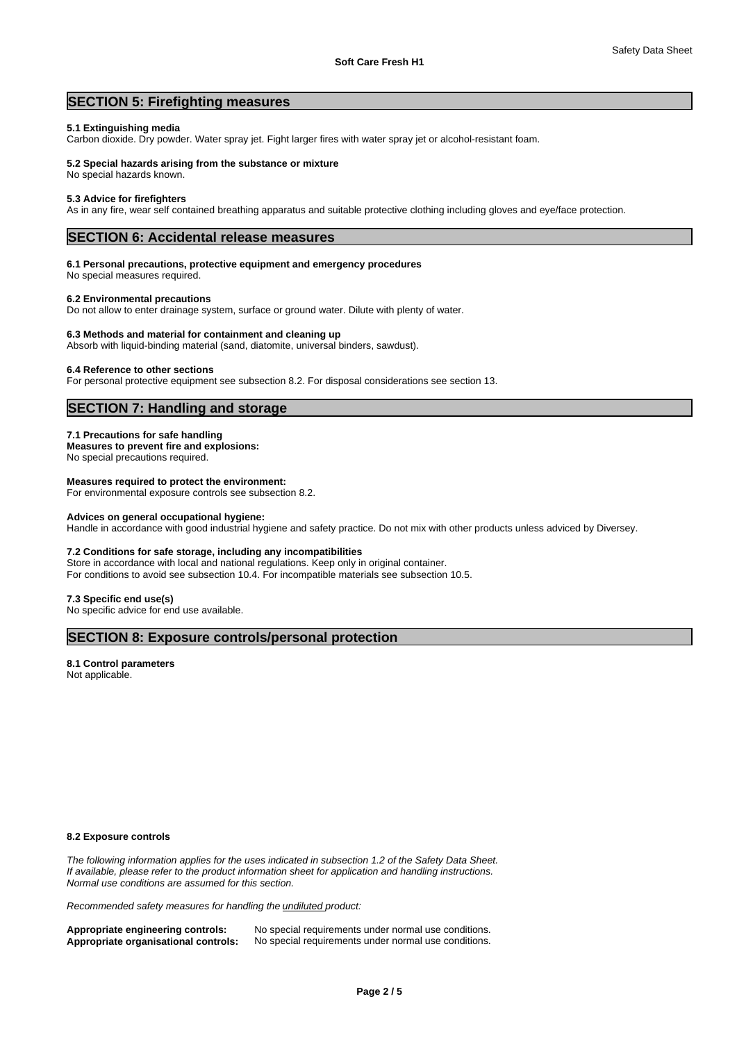# **SECTION 5: Firefighting measures**

#### **5.1 Extinguishing media**

Carbon dioxide. Dry powder. Water spray jet. Fight larger fires with water spray jet or alcohol-resistant foam.

#### **5.2 Special hazards arising from the substance or mixture**

No special hazards known.

#### **5.3 Advice for firefighters**

As in any fire, wear self contained breathing apparatus and suitable protective clothing including gloves and eye/face protection.

# **SECTION 6: Accidental release measures**

#### **6.1 Personal precautions, protective equipment and emergency procedures**

No special measures required.

#### **6.2 Environmental precautions**

Do not allow to enter drainage system, surface or ground water. Dilute with plenty of water.

#### **6.3 Methods and material for containment and cleaning up**

Absorb with liquid-binding material (sand, diatomite, universal binders, sawdust).

#### **6.4 Reference to other sections**

For personal protective equipment see subsection 8.2. For disposal considerations see section 13.

# **SECTION 7: Handling and storage**

#### **7.1 Precautions for safe handling**

**Measures to prevent fire and explosions:** No special precautions required.

# **Measures required to protect the environment:**

For environmental exposure controls see subsection 8.2.

#### **Advices on general occupational hygiene:**

Handle in accordance with good industrial hygiene and safety practice. Do not mix with other products unless adviced by Diversey.

#### **7.2 Conditions for safe storage, including any incompatibilities**

Store in accordance with local and national regulations. Keep only in original container. For conditions to avoid see subsection 10.4. For incompatible materials see subsection 10.5.

#### **7.3 Specific end use(s)**

No specific advice for end use available.

# **SECTION 8: Exposure controls/personal protection**

#### **8.1 Control parameters** Not applicable.

**8.2 Exposure controls**

*The following information applies for the uses indicated in subsection 1.2 of the Safety Data Sheet. If available, please refer to the product information sheet for application and handling instructions. Normal use conditions are assumed for this section.*

*Recommended safety measures for handling the undiluted product:*

Appropriate engineering controls: No special requirements under normal use conditions.<br>**Appropriate organisational controls:** No special requirements under normal use conditions. **Appropriate organisational controls:** No special requirements under normal use conditions.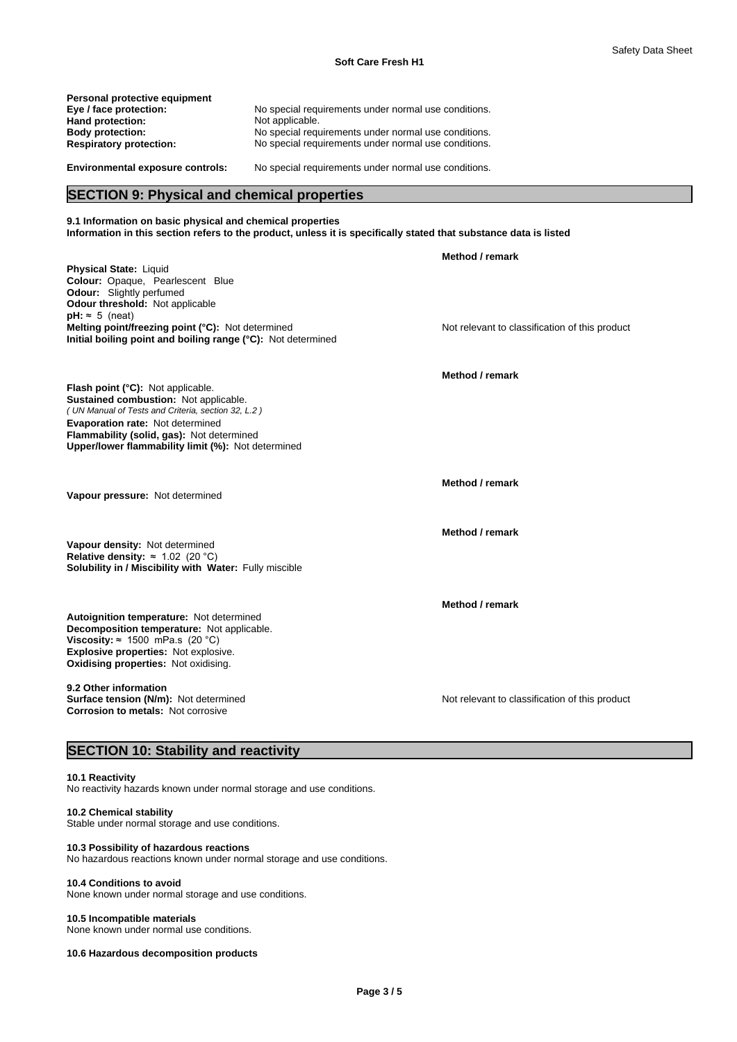| No special requirements under normal use conditions. |
|------------------------------------------------------|
| Not applicable.                                      |
| No special requirements under normal use conditions. |
| No special requirements under normal use conditions. |
|                                                      |
| No special requirements under normal use conditions. |
|                                                      |

# **SECTION 9: Physical and chemical properties**

**9.1 Information on basic physical and chemical properties Information in this section refers to the product, unless it is specifically stated that substance data is listed**

| Physical State: Liquid<br>Colour: Opaque, Pearlescent Blue<br><b>Odour:</b> Slightly perfumed<br>Odour threshold: Not applicable<br>$pH: \approx 5$ (neat)<br>Melting point/freezing point (°C): Not determined<br>Initial boiling point and boiling range (°C): Not determined | Method / remark<br>Not relevant to classification of this product |
|---------------------------------------------------------------------------------------------------------------------------------------------------------------------------------------------------------------------------------------------------------------------------------|-------------------------------------------------------------------|
| Flash point (°C): Not applicable.<br>Sustained combustion: Not applicable.<br>(UN Manual of Tests and Criteria, section 32, L.2)<br>Evaporation rate: Not determined<br>Flammability (solid, gas): Not determined<br>Upper/lower flammability limit (%): Not determined         | Method / remark                                                   |
| Vapour pressure: Not determined                                                                                                                                                                                                                                                 | Method / remark                                                   |
| Vapour density: Not determined<br>Relative density: $\approx 1.02$ (20 °C)<br>Solubility in / Miscibility with Water: Fully miscible                                                                                                                                            | Method / remark                                                   |
| Autoignition temperature: Not determined<br>Decomposition temperature: Not applicable.<br>Viscosity: $\approx 1500$ mPa.s (20 °C)<br>Explosive properties: Not explosive.<br>Oxidising properties: Not oxidising.                                                               | Method / remark                                                   |
| 9.2 Other information<br>Surface tension (N/m): Not determined<br><b>Corrosion to metals: Not corrosive</b><br>27.77<br>$\mathbf{a} = \mathbf{a}$                                                                                                                               | Not relevant to classification of this product                    |

### **SECTION 10: Stability and reactivity**

#### **10.1 Reactivity**

No reactivity hazards known under normal storage and use conditions.

## **10.2 Chemical stability**

Stable under normal storage and use conditions.

**10.3 Possibility of hazardous reactions**

No hazardous reactions known under normal storage and use conditions.

#### **10.4 Conditions to avoid**

None known under normal storage and use conditions.

#### **10.5 Incompatible materials**

None known under normal use conditions.

**10.6 Hazardous decomposition products**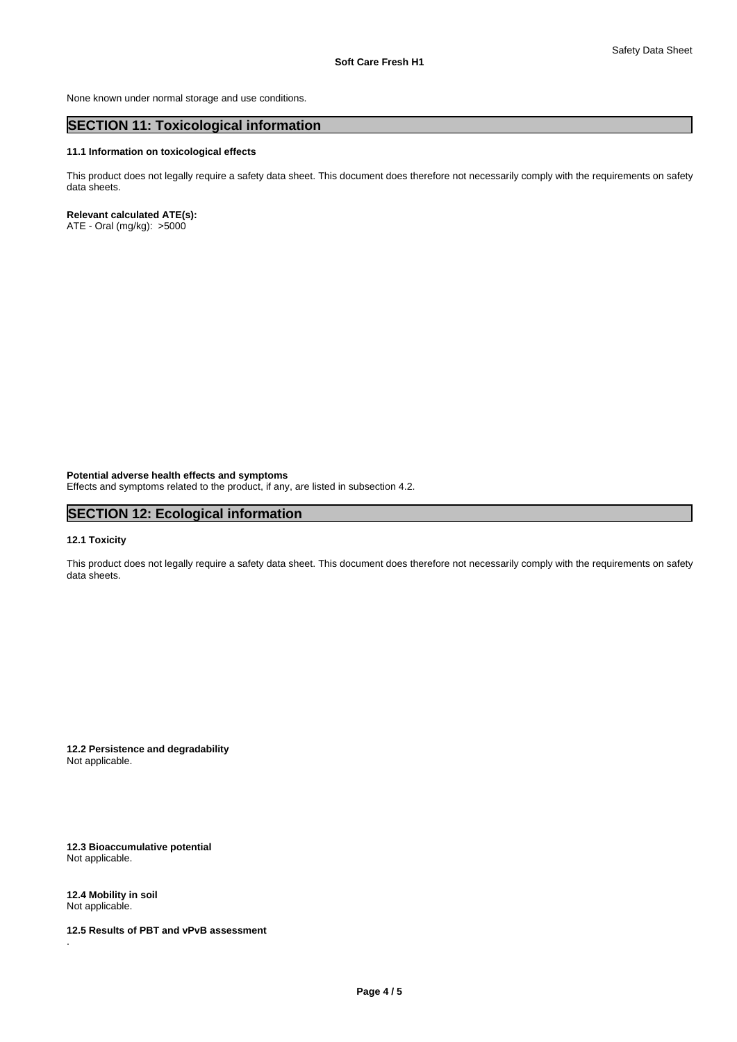None known under normal storage and use conditions.

# **SECTION 11: Toxicological information**

#### **11.1 Information on toxicological effects**

This product does not legally require a safety data sheet. This document does therefore not necessarily comply with the requirements on safety data sheets.

### **Relevant calculated ATE(s):**

ATE - Oral (mg/kg): >5000

**Potential adverse health effects and symptoms**

Effects and symptoms related to the product, if any, are listed in subsection 4.2.

# **SECTION 12: Ecological information**

### **12.1 Toxicity**

This product does not legally require a safety data sheet. This document does therefore not necessarily comply with the requirements on safety data sheets.

**12.2 Persistence and degradability** Not applicable.

**12.3 Bioaccumulative potential** Not applicable.

**12.4 Mobility in soil** Not applicable.

.

**12.5 Results of PBT and vPvB assessment**